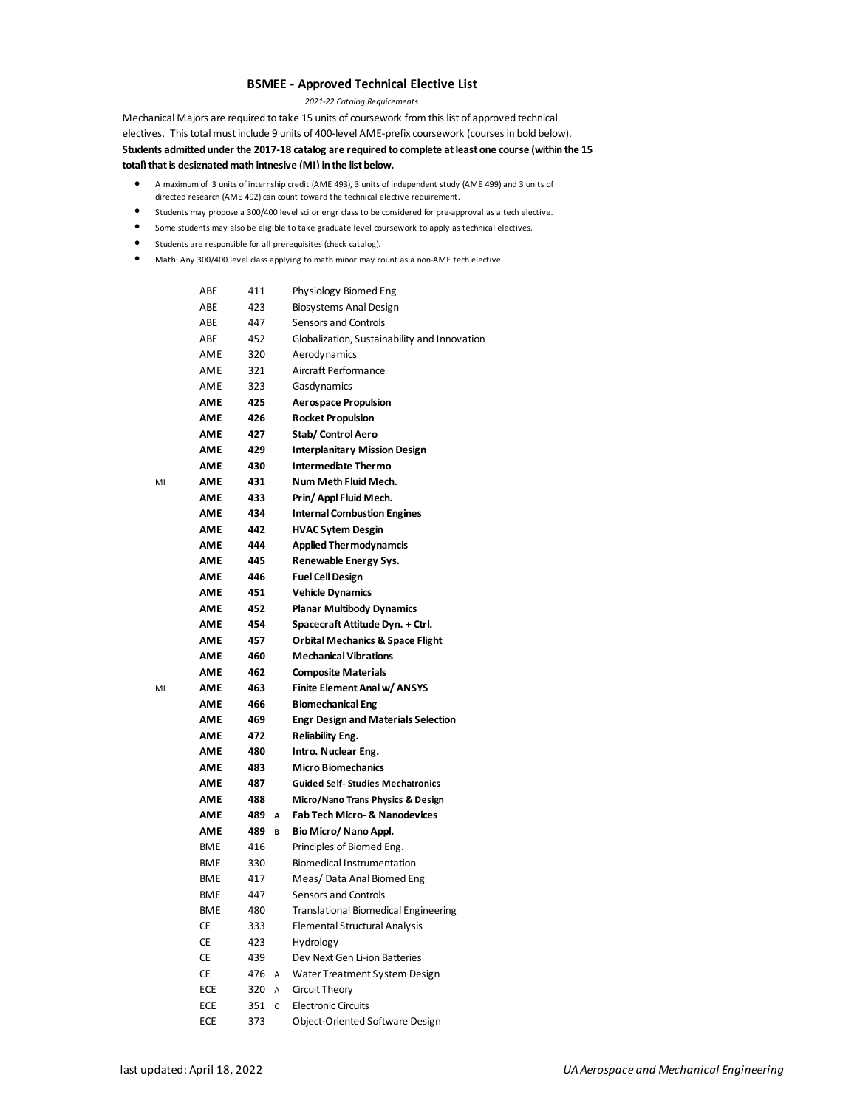## **BSMEE - Approved Technical Elective List**

*2021-22 Catalog Requirements*

Mechanical Majors are required to take 15 units of coursework from this list of approved technical electives. This total must include 9 units of 400-level AME-prefix coursework (courses in bold below). **Students admitted under the 2017-18 catalog are required to complete at least one course (within the 15 total) that is designated math intnesive (MI) in the list below.**

- A maximum of3 units of internship credit (AME 493), 3 units of independent study (AME 499) and 3 units of directed research (AME 492) can count toward the technical elective requirement.
- Students may propose a 300/400 level sci or engr class to be considered for pre-approval as a tech elective.
- Some students may also be eligible to take graduate level coursework to apply as technical electives.
- Students are responsible for all prerequisites (check catalog).
- Math: Any 300/400 level class applying to math minor may count as a non-AME tech elective.

|    | ABE        | 411 |   | Physiology Biomed Eng                        |
|----|------------|-----|---|----------------------------------------------|
|    | ABE        | 423 |   | Biosystems Anal Design                       |
|    | ABE        | 447 |   | <b>Sensors and Controls</b>                  |
|    | ABE        | 452 |   | Globalization, Sustainability and Innovation |
|    | AME        | 320 |   | Aerodynamics                                 |
|    | AME        | 321 |   | Aircraft Performance                         |
|    | AME        | 323 |   | Gasdynamics                                  |
|    | AME        | 425 |   | <b>Aerospace Propulsion</b>                  |
|    | AME        | 426 |   | <b>Rocket Propulsion</b>                     |
|    | AME        | 427 |   | Stab/Control Aero                            |
|    | AME        | 429 |   | <b>Interplanitary Mission Design</b>         |
|    | AME        | 430 |   | <b>Intermediate Thermo</b>                   |
| MI | AME        | 431 |   | Num Meth Fluid Mech.                         |
|    | AME        | 433 |   | Prin/ Appl Fluid Mech.                       |
|    | AME        | 434 |   | <b>Internal Combustion Engines</b>           |
|    | AME        | 442 |   | <b>HVAC Sytem Desgin</b>                     |
|    | AME        | 444 |   | <b>Applied Thermodynamcis</b>                |
|    | AME        | 445 |   | Renewable Energy Sys.                        |
|    | AME        | 446 |   | <b>Fuel Cell Design</b>                      |
|    | AME        | 451 |   | <b>Vehicle Dynamics</b>                      |
|    | <b>AME</b> | 452 |   | <b>Planar Multibody Dynamics</b>             |
|    | <b>AME</b> | 454 |   | Spacecraft Attitude Dyn. + Ctrl.             |
|    | AME        | 457 |   | <b>Orbital Mechanics &amp; Space Flight</b>  |
|    | AME        | 460 |   | <b>Mechanical Vibrations</b>                 |
|    | AME        | 462 |   | <b>Composite Materials</b>                   |
| MI | AME        | 463 |   | Finite Element Anal w/ ANSYS                 |
|    | AME        | 466 |   | <b>Biomechanical Eng</b>                     |
|    | АМЕ        | 469 |   | <b>Engr Design and Materials Selection</b>   |
|    | AME        | 472 |   | <b>Reliability Eng.</b>                      |
|    | AME        | 480 |   | Intro. Nuclear Eng.                          |
|    | AME        | 483 |   | <b>Micro Biomechanics</b>                    |
|    | AME        | 487 |   | <b>Guided Self- Studies Mechatronics</b>     |
|    | AME        | 488 |   | Micro/Nano Trans Physics & Design            |
|    | AME        | 489 | Α | <b>Fab Tech Micro- &amp; Nanodevices</b>     |
|    | AME        | 489 | В | Bio Micro/ Nano Appl.                        |
|    | <b>BME</b> | 416 |   | Principles of Biomed Eng.                    |
|    | <b>BME</b> | 330 |   | <b>Biomedical Instrumentation</b>            |
|    | <b>BME</b> | 417 |   | Meas/Data Anal Biomed Eng                    |
|    | <b>BME</b> | 447 |   | <b>Sensors and Controls</b>                  |
|    | <b>BME</b> | 480 |   | <b>Translational Biomedical Engineering</b>  |
|    | СE         | 333 |   | <b>Elemental Structural Analysis</b>         |
|    | СE         | 423 |   | Hydrology                                    |
|    | <b>CE</b>  | 439 |   | Dev Next Gen Li-ion Batteries                |
|    | <b>CE</b>  | 476 | А | Water Treatment System Design                |
|    | ECE        | 320 | А | Circuit Theory                               |
|    | ECE        | 351 | C | <b>Electronic Circuits</b>                   |
|    | ECE        | 373 |   | Object-Oriented Software Design              |